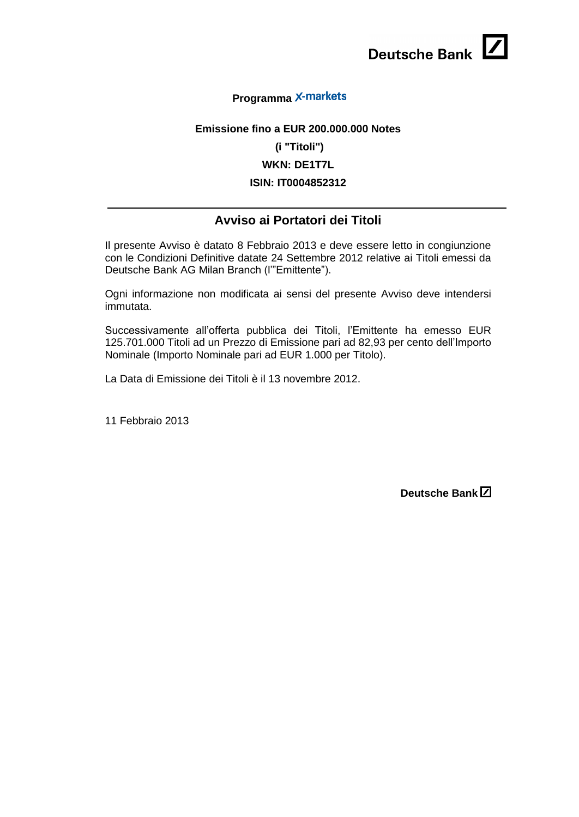## **Programma**

## **Emissione fino a EUR 200.000.000 Notes**

## **(i "Titoli")**

## **WKN: DE1T7L**

#### **ISIN: IT0004852312**

## **Avviso ai Portatori dei Titoli**

Il presente Avviso è datato 8 Febbraio 2013 e deve essere letto in congiunzione con le Condizioni Definitive datate 24 Settembre 2012 relative ai Titoli emessi da Deutsche Bank AG Milan Branch (l'"Emittente").

Ogni informazione non modificata ai sensi del presente Avviso deve intendersi immutata.

Successivamente all'offerta pubblica dei Titoli, l'Emittente ha emesso EUR 125.701.000 Titoli ad un Prezzo di Emissione pari ad 82,93 per cento dell'Importo Nominale (Importo Nominale pari ad EUR 1.000 per Titolo).

La Data di Emissione dei Titoli è il 13 novembre 2012.

11 Febbraio 2013

**Deutsche Bank**